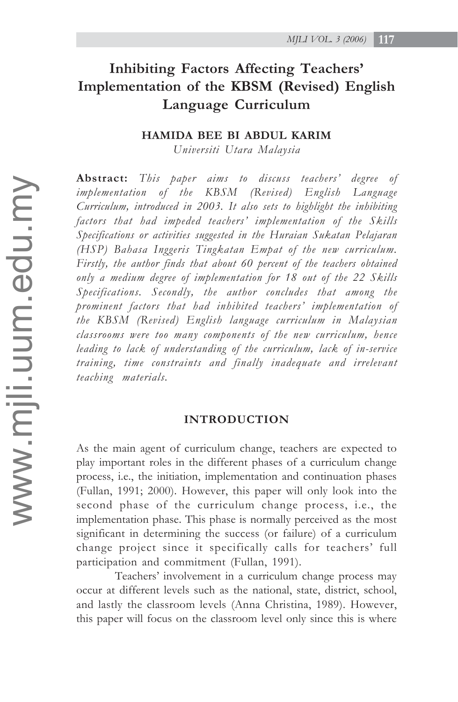# **Inhibiting Factors Affecting Teachers' Implementation of the KBSM (Revised) English Language Curriculum**

#### **HAMIDA BEE BI ABDUL KARIM**

*Universiti Utara Malaysia*

**Abstract:** *This paper aims to discuss teachers' degree of implementation of the KBSM (Revised) English Language Curriculum, introduced in 2003. It also sets to highlight the inhibiting factors that had impeded teachers' implementation of the Skills Specifications or activities suggested in the Huraian Sukatan Pelajaran (HSP) Bahasa Inggeris Tingkatan Empat of the new curriculum. Firstly, the author finds that about 60 percent of the teachers obtained only a medium degree of implementation for 18 out of the 22 Skills Specifications. Secondly, the author concludes that among the prominent factors that had inhibited teachers' implementation of the KBSM (Revised) English language curriculum in Malaysian classrooms were too many components of the new curriculum, hence leading to lack of understanding of the curriculum, lack of in-service training, time constraints and finally inadequate and irrelevant teaching materials.*

#### **INTRODUCTION**

As the main agent of curriculum change, teachers are expected to play important roles in the different phases of a curriculum change process, i.e., the initiation, implementation and continuation phases (Fullan, 1991; 2000). However, this paper will only look into the second phase of the curriculum change process, i.e., the implementation phase. This phase is normally perceived as the most significant in determining the success (or failure) of a curriculum change project since it specifically calls for teachers' full participation and commitment (Fullan, 1991).

Teachers' involvement in a curriculum change process may occur at different levels such as the national, state, district, school, and lastly the classroom levels (Anna Christina, 1989). However, this paper will focus on the classroom level only since this is where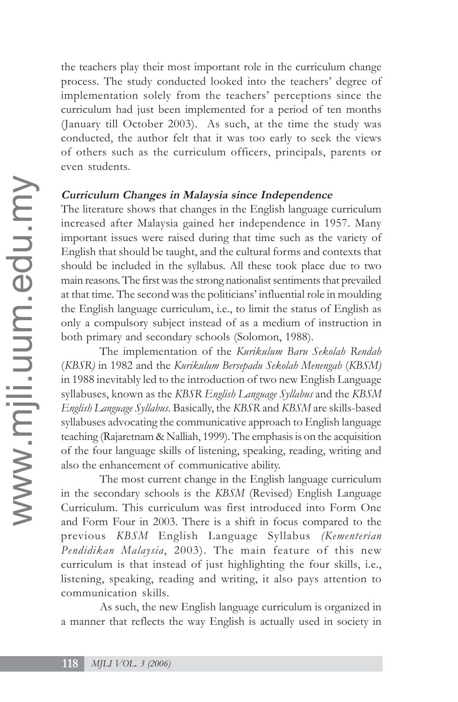the teachers play their most important role in the curriculum change process. The study conducted looked into the teachers' degree of implementation solely from the teachers' perceptions since the curriculum had just been implemented for a period of ten months (January till October 2003). As such, at the time the study was conducted, the author felt that it was too early to seek the views of others such as the curriculum officers, principals, parents or even students.

#### **Curriculum Changes in Malaysia since Independence**

The literature shows that changes in the English language curriculum increased after Malaysia gained her independence in 1957. Many important issues were raised during that time such as the variety of English that should be taught, and the cultural forms and contexts that should be included in the syllabus. All these took place due to two main reasons. The first was the strong nationalist sentiments that prevailed at that time. The second was the politicians' influential role in moulding the English language curriculum, i.e., to limit the status of English as only a compulsory subject instead of as a medium of instruction in both primary and secondary schools (Solomon, 1988).

The implementation of the *Kurikulum Baru Sekolah Rendah* (*KBSR)* in 1982 and the *Kurikulum Bersepadu Sekolah Menengah* (*KBSM)* in 1988 inevitably led to the introduction of two new English Language syllabuses, known as the *KBSR English Language Syllabus* and the *KBSM English Language Syllabus*. Basically, the *KBSR* and *KBSM* are skills-based syllabuses advocating the communicative approach to English language teaching (Rajaretnam & Nalliah, 1999). The emphasis is on the acquisition of the four language skills of listening, speaking, reading, writing and also the enhancement of communicative ability.

The most current change in the English language curriculum in the secondary schools is the *KBSM* (Revised) English Language Curriculum. This curriculum was first introduced into Form One and Form Four in 2003. There is a shift in focus compared to the previous *KBSM* English Language Syllabus *(Kementerian Pendidikan Malaysia*, 2003). The main feature of this new curriculum is that instead of just highlighting the four skills, i.e., listening, speaking, reading and writing, it also pays attention to communication skills.

As such, the new English language curriculum is organized in a manner that reflects the way English is actually used in society in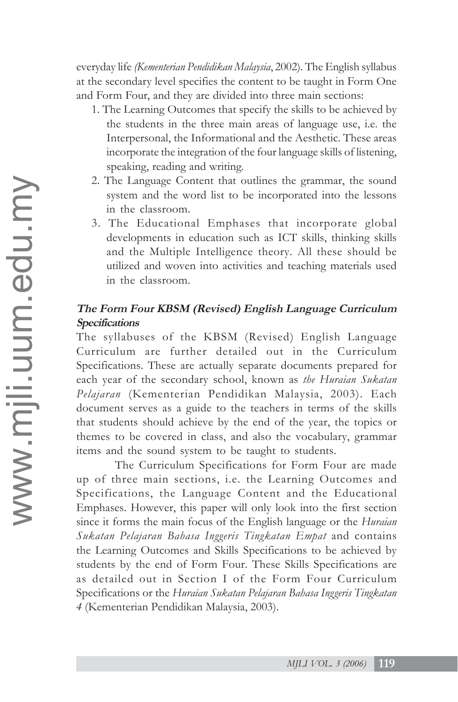everyday life *(Kementerian Pendidikan Malaysia*, 2002). The English syllabus at the secondary level specifies the content to be taught in Form One and Form Four, and they are divided into three main sections:

- 1. The Learning Outcomes that specify the skills to be achieved by the students in the three main areas of language use, i.e. the Interpersonal, the Informational and the Aesthetic. These areas incorporate the integration of the four language skills of listening, speaking, reading and writing.
- 2. The Language Content that outlines the grammar, the sound system and the word list to be incorporated into the lessons in the classroom.
- 3. The Educational Emphases that incorporate global developments in education such as ICT skills, thinking skills and the Multiple Intelligence theory. All these should be utilized and woven into activities and teaching materials used in the classroom.

## **The Form Four KBSM (Revised) English Language Curriculum Specifications**

The syllabuses of the KBSM (Revised) English Language Curriculum are further detailed out in the Curriculum Specifications. These are actually separate documents prepared for each year of the secondary school, known as *the Huraian Sukatan Pelajaran* (Kementerian Pendidikan Malaysia, 2003). Each document serves as a guide to the teachers in terms of the skills that students should achieve by the end of the year, the topics or themes to be covered in class, and also the vocabulary, grammar items and the sound system to be taught to students.

The Curriculum Specifications for Form Four are made up of three main sections, i.e. the Learning Outcomes and Specifications, the Language Content and the Educational Emphases. However, this paper will only look into the first section since it forms the main focus of the English language or the *Huraian Sukatan Pelajaran Bahasa Inggeris Tingkatan Empat* and contains the Learning Outcomes and Skills Specifications to be achieved by students by the end of Form Four. These Skills Specifications are as detailed out in Section I of the Form Four Curriculum Specifications or the *Huraian Sukatan Pelajaran Bahasa Inggeris Tingkatan 4* (Kementerian Pendidikan Malaysia, 2003).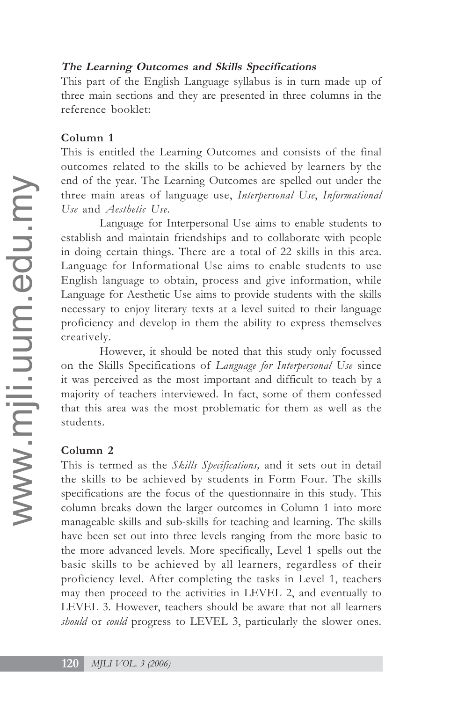#### **The Learning Outcomes and Skills Specifications**

This part of the English Language syllabus is in turn made up of three main sections and they are presented in three columns in the reference booklet:

#### **Column 1**

This is entitled the Learning Outcomes and consists of the final outcomes related to the skills to be achieved by learners by the end of the year. The Learning Outcomes are spelled out under the three main areas of language use, *Interpersonal Use*, *Informational Use* and *Aesthetic Use.*

Language for Interpersonal Use aims to enable students to establish and maintain friendships and to collaborate with people in doing certain things. There are a total of 22 skills in this area. Language for Informational Use aims to enable students to use English language to obtain, process and give information, while Language for Aesthetic Use aims to provide students with the skills necessary to enjoy literary texts at a level suited to their language proficiency and develop in them the ability to express themselves creatively.

However, it should be noted that this study only focussed on the Skills Specifications of *Language for Interpersonal Use* since it was perceived as the most important and difficult to teach by a majority of teachers interviewed. In fact, some of them confessed that this area was the most problematic for them as well as the students.

#### **Column 2**

This is termed as the *Skills Specifications,* and it sets out in detail the skills to be achieved by students in Form Four. The skills specifications are the focus of the questionnaire in this study. This column breaks down the larger outcomes in Column 1 into more manageable skills and sub-skills for teaching and learning. The skills have been set out into three levels ranging from the more basic to the more advanced levels. More specifically, Level 1 spells out the basic skills to be achieved by all learners, regardless of their proficiency level. After completing the tasks in Level 1, teachers may then proceed to the activities in LEVEL 2, and eventually to LEVEL 3. However, teachers should be aware that not all learners *should* or *could* progress to LEVEL 3, particularly the slower ones.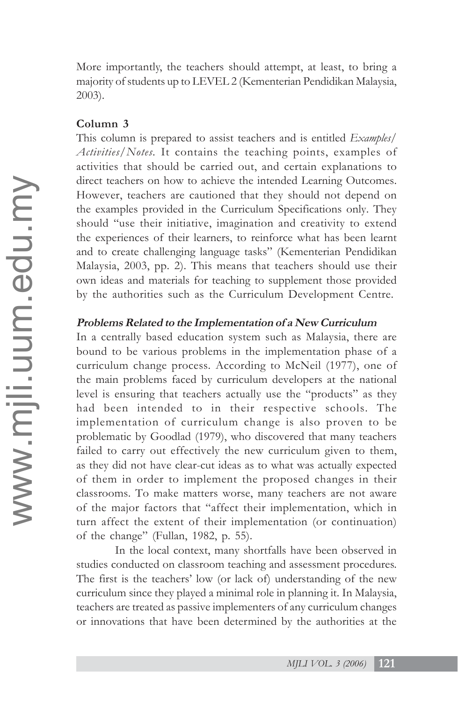More importantly, the teachers should attempt, at least, to bring a majority of students up to LEVEL 2 (Kementerian Pendidikan Malaysia, 2003).

### **Column 3**

This column is prepared to assist teachers and is entitled *Examples/ Activities/Notes.* It contains the teaching points, examples of activities that should be carried out, and certain explanations to direct teachers on how to achieve the intended Learning Outcomes. However, teachers are cautioned that they should not depend on the examples provided in the Curriculum Specifications only. They should "use their initiative, imagination and creativity to extend the experiences of their learners, to reinforce what has been learnt and to create challenging language tasks" (Kementerian Pendidikan Malaysia, 2003, pp. 2). This means that teachers should use their own ideas and materials for teaching to supplement those provided by the authorities such as the Curriculum Development Centre.

#### **Problems Related to the Implementation of a New Curriculum**

In a centrally based education system such as Malaysia, there are bound to be various problems in the implementation phase of a curriculum change process. According to McNeil (1977), one of the main problems faced by curriculum developers at the national level is ensuring that teachers actually use the "products" as they had been intended to in their respective schools. The implementation of curriculum change is also proven to be problematic by Goodlad (1979), who discovered that many teachers failed to carry out effectively the new curriculum given to them, as they did not have clear-cut ideas as to what was actually expected of them in order to implement the proposed changes in their classrooms. To make matters worse, many teachers are not aware of the major factors that "affect their implementation, which in turn affect the extent of their implementation (or continuation) of the change" (Fullan, 1982, p. 55).

In the local context, many shortfalls have been observed in studies conducted on classroom teaching and assessment procedures. The first is the teachers' low (or lack of) understanding of the new curriculum since they played a minimal role in planning it. In Malaysia, teachers are treated as passive implementers of any curriculum changes or innovations that have been determined by the authorities at the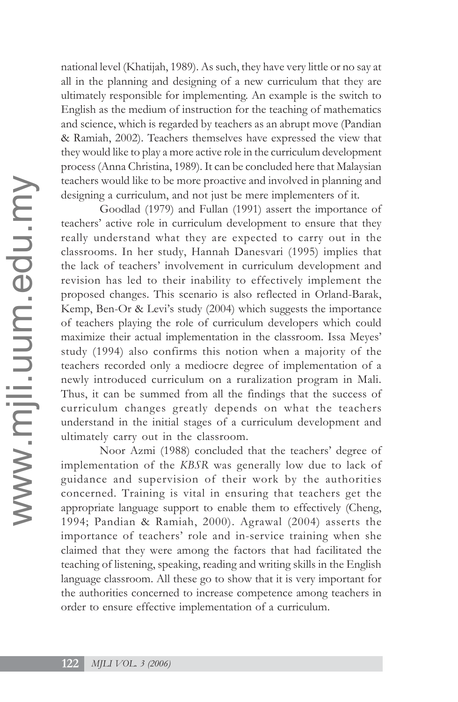national level (Khatijah, 1989). As such, they have very little or no say at all in the planning and designing of a new curriculum that they are ultimately responsible for implementing. An example is the switch to English as the medium of instruction for the teaching of mathematics and science, which is regarded by teachers as an abrupt move (Pandian & Ramiah, 2002). Teachers themselves have expressed the view that they would like to play a more active role in the curriculum development process (Anna Christina, 1989). It can be concluded here that Malaysian teachers would like to be more proactive and involved in planning and designing a curriculum, and not just be mere implementers of it.

Goodlad (1979) and Fullan (1991) assert the importance of teachers' active role in curriculum development to ensure that they really understand what they are expected to carry out in the classrooms. In her study, Hannah Danesvari (1995) implies that the lack of teachers' involvement in curriculum development and revision has led to their inability to effectively implement the proposed changes. This scenario is also reflected in Orland-Barak, Kemp, Ben-Or & Levi's study (2004) which suggests the importance of teachers playing the role of curriculum developers which could maximize their actual implementation in the classroom. Issa Meyes' study (1994) also confirms this notion when a majority of the teachers recorded only a mediocre degree of implementation of a newly introduced curriculum on a ruralization program in Mali. Thus, it can be summed from all the findings that the success of curriculum changes greatly depends on what the teachers understand in the initial stages of a curriculum development and ultimately carry out in the classroom.

Noor Azmi (1988) concluded that the teachers' degree of implementation of the *KBSR* was generally low due to lack of guidance and supervision of their work by the authorities concerned. Training is vital in ensuring that teachers get the appropriate language support to enable them to effectively (Cheng, 1994; Pandian & Ramiah, 2000). Agrawal (2004) asserts the importance of teachers' role and in-service training when she claimed that they were among the factors that had facilitated the teaching of listening, speaking, reading and writing skills in the English language classroom. All these go to show that it is very important for the authorities concerned to increase competence among teachers in order to ensure effective implementation of a curriculum.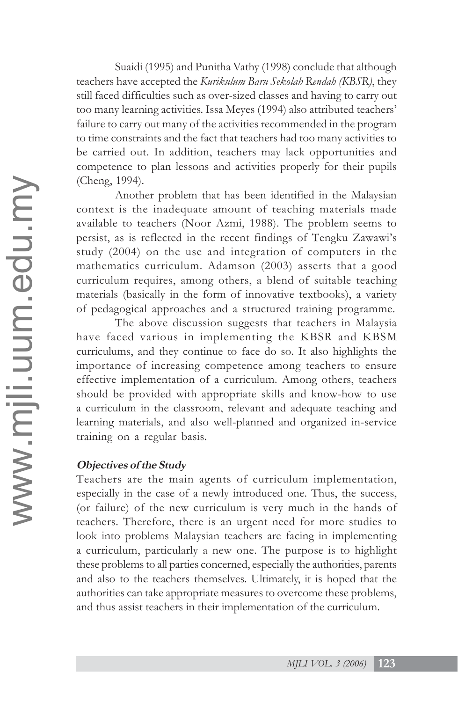Suaidi (1995) and Punitha Vathy (1998) conclude that although teachers have accepted the *Kurikulum Baru Sekolah Rendah (KBSR)*, they still faced difficulties such as over-sized classes and having to carry out too many learning activities. Issa Meyes (1994) also attributed teachers' failure to carry out many of the activities recommended in the program to time constraints and the fact that teachers had too many activities to be carried out. In addition, teachers may lack opportunities and competence to plan lessons and activities properly for their pupils (Cheng, 1994).

Another problem that has been identified in the Malaysian context is the inadequate amount of teaching materials made available to teachers (Noor Azmi, 1988). The problem seems to persist, as is reflected in the recent findings of Tengku Zawawi's study (2004) on the use and integration of computers in the mathematics curriculum. Adamson (2003) asserts that a good curriculum requires, among others, a blend of suitable teaching materials (basically in the form of innovative textbooks), a variety of pedagogical approaches and a structured training programme.

The above discussion suggests that teachers in Malaysia have faced various in implementing the KBSR and KBSM curriculums, and they continue to face do so. It also highlights the importance of increasing competence among teachers to ensure effective implementation of a curriculum. Among others, teachers should be provided with appropriate skills and know-how to use a curriculum in the classroom, relevant and adequate teaching and learning materials, and also well-planned and organized in-service training on a regular basis.

### **Objectives of the Study**

Teachers are the main agents of curriculum implementation, especially in the case of a newly introduced one. Thus, the success, (or failure) of the new curriculum is very much in the hands of teachers. Therefore, there is an urgent need for more studies to look into problems Malaysian teachers are facing in implementing a curriculum, particularly a new one. The purpose is to highlight these problems to all parties concerned, especially the authorities, parents and also to the teachers themselves. Ultimately, it is hoped that the authorities can take appropriate measures to overcome these problems, and thus assist teachers in their implementation of the curriculum.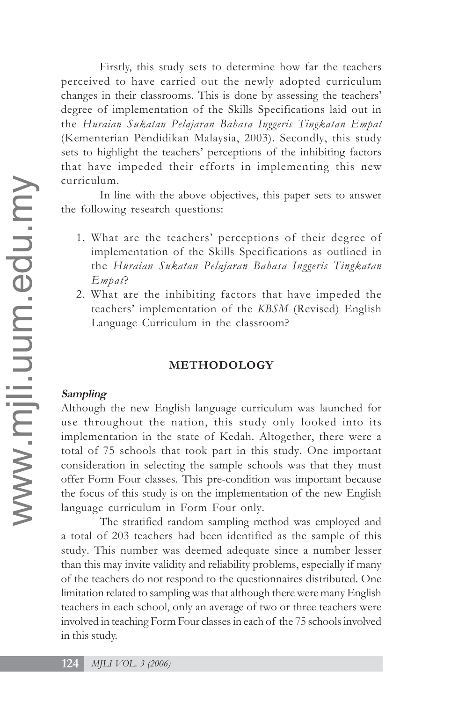Firstly, this study sets to determine how far the teachers perceived to have carried out the newly adopted curriculum changes in their classrooms. This is done by assessing the teachers' degree of implementation of the Skills Specifications laid out in the *Huraian Sukatan Pelajaran Bahasa Inggeris Tingkatan Empat* (Kementerian Pendidikan Malaysia, 2003). Secondly, this study sets to highlight the teachers' perceptions of the inhibiting factors that have impeded their efforts in implementing this new curriculum.

In line with the above objectives, this paper sets to answer the following research questions:

- 1. What are the teachers' perceptions of their degree of implementation of the Skills Specifications as outlined in the *Huraian Sukatan Pelajaran Bahasa Inggeris Tingkatan Empat*?
- 2. What are the inhibiting factors that have impeded the teachers' implementation of the *KBSM* (Revised) English Language Curriculum in the classroom?

#### **METHODOLOGY**

#### **Sampling**

Although the new English language curriculum was launched for use throughout the nation, this study only looked into its implementation in the state of Kedah. Altogether, there were a total of 75 schools that took part in this study. One important consideration in selecting the sample schools was that they must offer Form Four classes. This pre-condition was important because the focus of this study is on the implementation of the new English language curriculum in Form Four only.

The stratified random sampling method was employed and a total of 203 teachers had been identified as the sample of this study. This number was deemed adequate since a number lesser than this may invite validity and reliability problems, especially if many of the teachers do not respond to the questionnaires distributed. One limitation related to sampling was that although there were many English teachers in each school, only an average of two or three teachers were involved in teaching Form Four classes in each of the 75 schools involved in this study.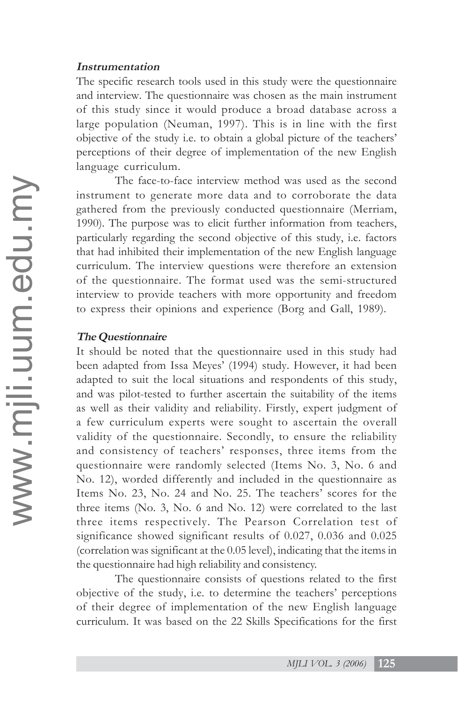#### **Instrumentation**

The specific research tools used in this study were the questionnaire and interview. The questionnaire was chosen as the main instrument of this study since it would produce a broad database across a large population (Neuman, 1997). This is in line with the first objective of the study i.e. to obtain a global picture of the teachers' perceptions of their degree of implementation of the new English language curriculum.

The face-to-face interview method was used as the second instrument to generate more data and to corroborate the data gathered from the previously conducted questionnaire (Merriam, 1990). The purpose was to elicit further information from teachers, particularly regarding the second objective of this study, i.e. factors that had inhibited their implementation of the new English language curriculum. The interview questions were therefore an extension of the questionnaire. The format used was the semi-structured interview to provide teachers with more opportunity and freedom to express their opinions and experience (Borg and Gall, 1989).

#### **The Questionnaire**

It should be noted that the questionnaire used in this study had been adapted from Issa Meyes' (1994) study. However, it had been adapted to suit the local situations and respondents of this study, and was pilot-tested to further ascertain the suitability of the items as well as their validity and reliability. Firstly, expert judgment of a few curriculum experts were sought to ascertain the overall validity of the questionnaire. Secondly, to ensure the reliability and consistency of teachers' responses, three items from the questionnaire were randomly selected (Items No. 3, No. 6 and No. 12), worded differently and included in the questionnaire as Items No. 23, No. 24 and No. 25. The teachers' scores for the three items (No. 3, No. 6 and No. 12) were correlated to the last three items respectively. The Pearson Correlation test of significance showed significant results of 0.027, 0.036 and 0.025 (correlation was significant at the 0.05 level), indicating that the items in the questionnaire had high reliability and consistency.

The questionnaire consists of questions related to the first objective of the study, i.e. to determine the teachers' perceptions of their degree of implementation of the new English language curriculum. It was based on the 22 Skills Specifications for the first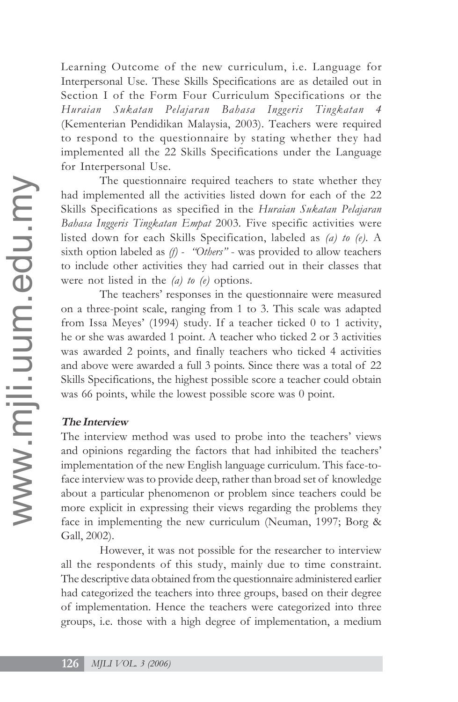Learning Outcome of the new curriculum, i.e. Language for Interpersonal Use. These Skills Specifications are as detailed out in Section I of the Form Four Curriculum Specifications or the *Huraian Sukatan Pelajaran Bahasa Inggeris Tingkatan 4* (Kementerian Pendidikan Malaysia, 2003). Teachers were required to respond to the questionnaire by stating whether they had implemented all the 22 Skills Specifications under the Language for Interpersonal Use.

The questionnaire required teachers to state whether they had implemented all the activities listed down for each of the 22 Skills Specifications as specified in the *Huraian Sukatan Pelajaran Bahasa Inggeris Tingkatan Empat* 2003*.* Five specific activities were listed down for each Skills Specification, labeled as *(a) to (e).* A sixth option labeled as *(f) - "Others"* - was provided to allow teachers to include other activities they had carried out in their classes that were not listed in the *(a) to (e)* options.

The teachers' responses in the questionnaire were measured on a three-point scale, ranging from 1 to 3. This scale was adapted from Issa Meyes' (1994) study. If a teacher ticked 0 to 1 activity, he or she was awarded 1 point. A teacher who ticked 2 or 3 activities was awarded 2 points, and finally teachers who ticked 4 activities and above were awarded a full 3 points. Since there was a total of 22 Skills Specifications, the highest possible score a teacher could obtain was 66 points, while the lowest possible score was 0 point.

### **The Interview**

The interview method was used to probe into the teachers' views and opinions regarding the factors that had inhibited the teachers' implementation of the new English language curriculum. This face-toface interview was to provide deep, rather than broad set of knowledge about a particular phenomenon or problem since teachers could be more explicit in expressing their views regarding the problems they face in implementing the new curriculum (Neuman, 1997; Borg & Gall, 2002).

However, it was not possible for the researcher to interview all the respondents of this study, mainly due to time constraint. The descriptive data obtained from the questionnaire administered earlier had categorized the teachers into three groups, based on their degree of implementation. Hence the teachers were categorized into three groups, i.e. those with a high degree of implementation, a medium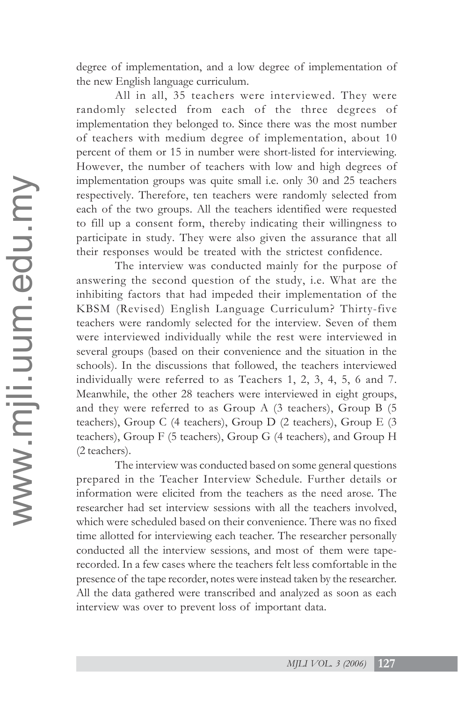degree of implementation, and a low degree of implementation of the new English language curriculum.

All in all, 35 teachers were interviewed. They were randomly selected from each of the three degrees of implementation they belonged to. Since there was the most number of teachers with medium degree of implementation, about 10 percent of them or 15 in number were short-listed for interviewing. However, the number of teachers with low and high degrees of implementation groups was quite small i.e. only 30 and 25 teachers respectively. Therefore, ten teachers were randomly selected from each of the two groups. All the teachers identified were requested to fill up a consent form, thereby indicating their willingness to participate in study. They were also given the assurance that all their responses would be treated with the strictest confidence.

The interview was conducted mainly for the purpose of answering the second question of the study, i.e. What are the inhibiting factors that had impeded their implementation of the KBSM (Revised) English Language Curriculum? Thirty-five teachers were randomly selected for the interview. Seven of them were interviewed individually while the rest were interviewed in several groups (based on their convenience and the situation in the schools). In the discussions that followed, the teachers interviewed individually were referred to as Teachers 1, 2, 3, 4, 5, 6 and 7. Meanwhile, the other 28 teachers were interviewed in eight groups, and they were referred to as Group A (3 teachers), Group B (5 teachers), Group C (4 teachers), Group D (2 teachers), Group E (3 teachers), Group F (5 teachers), Group G (4 teachers), and Group H (2 teachers).

The interview was conducted based on some general questions prepared in the Teacher Interview Schedule. Further details or information were elicited from the teachers as the need arose. The researcher had set interview sessions with all the teachers involved, which were scheduled based on their convenience. There was no fixed time allotted for interviewing each teacher. The researcher personally conducted all the interview sessions, and most of them were taperecorded. In a few cases where the teachers felt less comfortable in the presence of the tape recorder, notes were instead taken by the researcher. All the data gathered were transcribed and analyzed as soon as each interview was over to prevent loss of important data.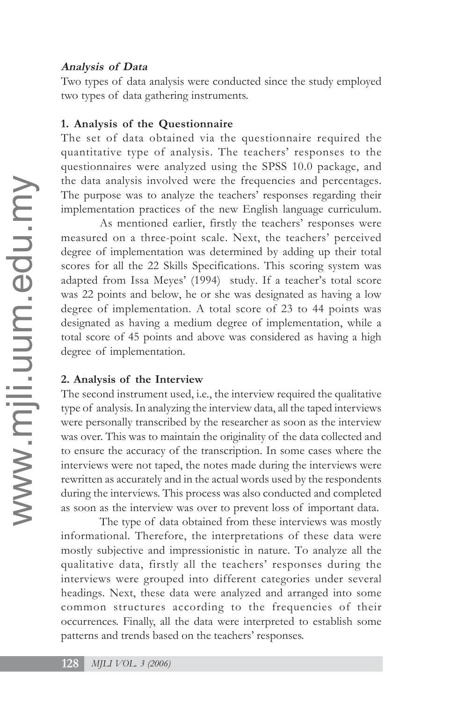#### **Analysis of Data**

Two types of data analysis were conducted since the study employed two types of data gathering instruments.

### **1. Analysis of the Questionnaire**

The set of data obtained via the questionnaire required the quantitative type of analysis. The teachers' responses to the questionnaires were analyzed using the SPSS 10.0 package, and the data analysis involved were the frequencies and percentages. The purpose was to analyze the teachers' responses regarding their implementation practices of the new English language curriculum.

As mentioned earlier, firstly the teachers' responses were measured on a three-point scale. Next, the teachers' perceived degree of implementation was determined by adding up their total scores for all the 22 Skills Specifications. This scoring system was adapted from Issa Meyes' (1994) study. If a teacher's total score was 22 points and below, he or she was designated as having a low degree of implementation. A total score of 23 to 44 points was designated as having a medium degree of implementation, while a total score of 45 points and above was considered as having a high degree of implementation.

### **2. Analysis of the Interview**

The second instrument used, i.e., the interview required the qualitative type of analysis. In analyzing the interview data, all the taped interviews were personally transcribed by the researcher as soon as the interview was over. This was to maintain the originality of the data collected and to ensure the accuracy of the transcription. In some cases where the interviews were not taped, the notes made during the interviews were rewritten as accurately and in the actual words used by the respondents during the interviews. This process was also conducted and completed as soon as the interview was over to prevent loss of important data.

The type of data obtained from these interviews was mostly informational. Therefore, the interpretations of these data were mostly subjective and impressionistic in nature. To analyze all the qualitative data, firstly all the teachers' responses during the interviews were grouped into different categories under several headings. Next, these data were analyzed and arranged into some common structures according to the frequencies of their occurrences. Finally, all the data were interpreted to establish some patterns and trends based on the teachers' responses.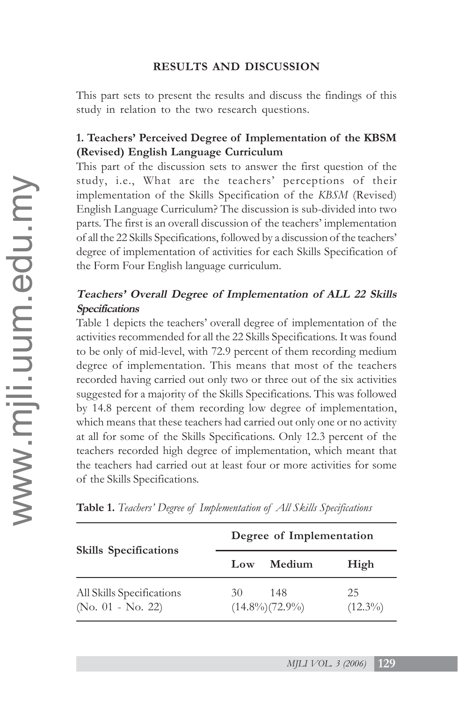### **RESULTS AND DISCUSSION**

This part sets to present the results and discuss the findings of this study in relation to the two research questions.

## **1. Teachers' Perceived Degree of Implementation of the KBSM (Revised) English Language Curriculum**

This part of the discussion sets to answer the first question of the study, i.e., What are the teachers' perceptions of their implementation of the Skills Specification of the *KBSM* (Revised) English Language Curriculum? The discussion is sub-divided into two parts. The first is an overall discussion of the teachers' implementation of all the 22 Skills Specifications, followed by a discussion of the teachers' degree of implementation of activities for each Skills Specification of the Form Four English language curriculum.

## **Teachers' Overall Degree of Implementation of ALL 22 Skills Specifications**

Table 1 depicts the teachers' overall degree of implementation of the activities recommended for all the 22 Skills Specifications. It was found to be only of mid-level, with 72.9 percent of them recording medium degree of implementation. This means that most of the teachers recorded having carried out only two or three out of the six activities suggested for a majority of the Skills Specifications. This was followed by 14.8 percent of them recording low degree of implementation, which means that these teachers had carried out only one or no activity at all for some of the Skills Specifications. Only 12.3 percent of the teachers recorded high degree of implementation, which meant that the teachers had carried out at least four or more activities for some of the Skills Specifications.

| <b>Skills</b> Specifications                   | Degree of Implementation |                              |                  |
|------------------------------------------------|--------------------------|------------------------------|------------------|
|                                                | Low                      | Medium                       | High             |
| All Skills Specifications<br>(No. 01 - No. 22) | 30 F                     | 148<br>$(14.8\%)$ $(72.9\%)$ | 25<br>$(12.3\%)$ |

**Table 1.** *Teachers' Degree of Implementation of All Skills Specifications*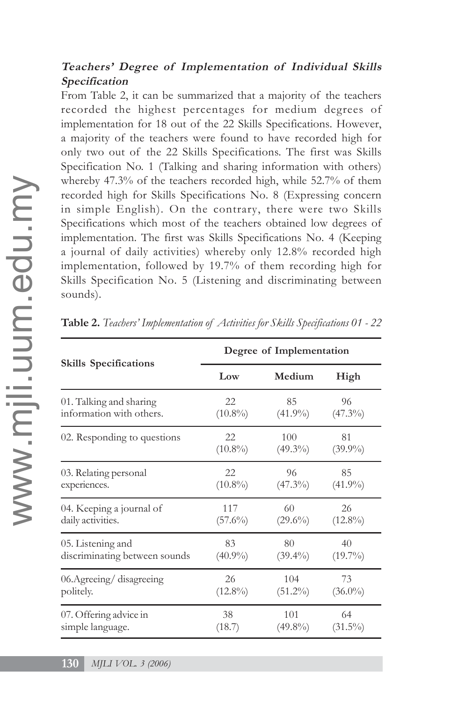## **Teachers' Degree of Implementation of Individual Skills Specification**

From Table 2, it can be summarized that a majority of the teachers recorded the highest percentages for medium degrees of implementation for 18 out of the 22 Skills Specifications. However, a majority of the teachers were found to have recorded high for only two out of the 22 Skills Specifications. The first was Skills Specification No. 1 (Talking and sharing information with others) whereby 47.3% of the teachers recorded high, while 52.7% of them recorded high for Skills Specifications No. 8 (Expressing concern in simple English). On the contrary, there were two Skills Specifications which most of the teachers obtained low degrees of implementation. The first was Skills Specifications No. 4 (Keeping a journal of daily activities) whereby only 12.8% recorded high implementation, followed by 19.7% of them recording high for Skills Specification No. 5 (Listening and discriminating between sounds).

| <b>Skills Specifications</b>  | Degree of Implementation |            |            |  |
|-------------------------------|--------------------------|------------|------------|--|
|                               | Low                      | Medium     | High       |  |
| 01. Talking and sharing       | 22                       | 85         | 96         |  |
| information with others.      | $(10.8\%)$               | $(41.9\%)$ | $(47.3\%)$ |  |
| 02. Responding to questions   | 22                       | 100        | 81         |  |
|                               | $(10.8\%)$               | $(49.3\%)$ | $(39.9\%)$ |  |
| 03. Relating personal         | 22                       | 96         | 85         |  |
| experiences.                  | $(10.8\%)$               | $(47.3\%)$ | $(41.9\%)$ |  |
| 04. Keeping a journal of      | 117                      | 60         | 26         |  |
| daily activities.             | $(57.6\%)$               | $(29.6\%)$ | $(12.8\%)$ |  |
| 05. Listening and             | 83                       | 80         | 40         |  |
| discriminating between sounds | $(40.9\%)$               | $(39.4\%)$ | $(19.7\%)$ |  |
| 06. Agreeing/disagreeing      | 26                       | 104        | 73         |  |
| politely.                     | $(12.8\%)$               | $(51.2\%)$ | $(36.0\%)$ |  |
| 07. Offering advice in        | 38                       | 101        | 64         |  |
| simple language.              | (18.7)                   | $(49.8\%)$ | $(31.5\%)$ |  |

**Table 2.** *Teachers' Implementation of Activities for Skills Specifications 01 - 22*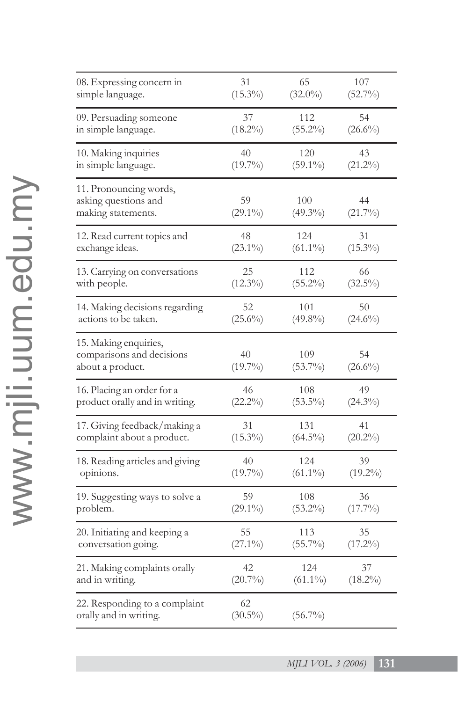| 08. Expressing concern in                                              | 31               | 65                | 107              |
|------------------------------------------------------------------------|------------------|-------------------|------------------|
| simple language.                                                       | $(15.3\%)$       | $(32.0\%)$        | $(52.7\%)$       |
| 09. Persuading someone                                                 | 37               | 112               | 54               |
| in simple language.                                                    | $(18.2\%)$       | $(55.2\%)$        | $(26.6\%)$       |
| 10. Making inquiries                                                   | 40               | 120               | 43               |
| in simple language.                                                    | $(19.7\%)$       | $(59.1\%)$        | $(21.2\%)$       |
| 11. Pronouncing words,<br>asking questions and<br>making statements.   | 59<br>$(29.1\%)$ | 100<br>$(49.3\%)$ | 44<br>$(21.7\%)$ |
| 12. Read current topics and                                            | 48               | 124               | 31               |
| exchange ideas.                                                        | $(23.1\%)$       | $(61.1\%)$        | $(15.3\%)$       |
| 13. Carrying on conversations                                          | 25               | 112               | 66               |
| with people.                                                           | $(12.3\%)$       | $(55.2\%)$        | $(32.5\%)$       |
| 14. Making decisions regarding                                         | 52               | 101               | 50               |
| actions to be taken.                                                   | $(25.6\%)$       | $(49.8\%)$        | $(24.6\%)$       |
| 15. Making enquiries,<br>comparisons and decisions<br>about a product. | 40<br>$(19.7\%)$ | 109<br>$(53.7\%)$ | 54<br>$(26.6\%)$ |
| 16. Placing an order for a                                             | 46               | 108               | 49               |
| product orally and in writing.                                         | $(22.2\%)$       | $(53.5\%)$        | $(24.3\%)$       |
| 17. Giving feedback/making a                                           | 31               | 131               | 41               |
| complaint about a product.                                             | $(15.3\%)$       | $(64.5\%)$        | $(20.2\%)$       |
| 18. Reading articles and giving                                        | 40               | 124               | 39               |
| opinions.                                                              | $(19.7\%)$       | $(61.1\%)$        | $(19.2\%)$       |
| 19. Suggesting ways to solve a                                         | 59               | 108               | 36               |
| problem.                                                               | $(29.1\%)$       | $(53.2\%)$        | $(17.7\%)$       |
| 20. Initiating and keeping a                                           | 55               | 113               | 35               |
| conversation going.                                                    | $(27.1\%)$       | $(55.7\%)$        | $(17.2\%)$       |
| 21. Making complaints orally                                           | 42               | 124               | 37               |
| and in writing.                                                        | $(20.7\%)$       | $(61.1\%)$        | $(18.2\%)$       |
| 22. Responding to a complaint<br>orally and in writing.                | 62<br>$(30.5\%)$ | $(56.7\%)$        |                  |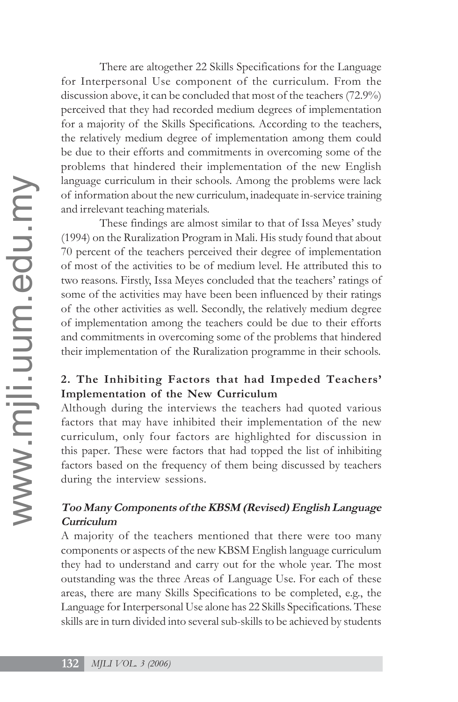There are altogether 22 Skills Specifications for the Language for Interpersonal Use component of the curriculum. From the discussion above, it can be concluded that most of the teachers (72.9%) perceived that they had recorded medium degrees of implementation for a majority of the Skills Specifications. According to the teachers, the relatively medium degree of implementation among them could be due to their efforts and commitments in overcoming some of the problems that hindered their implementation of the new English language curriculum in their schools. Among the problems were lack of information about the new curriculum, inadequate in-service training and irrelevant teaching materials.

These findings are almost similar to that of Issa Meyes' study (1994) on the Ruralization Program in Mali. His study found that about 70 percent of the teachers perceived their degree of implementation of most of the activities to be of medium level. He attributed this to two reasons. Firstly, Issa Meyes concluded that the teachers' ratings of some of the activities may have been been influenced by their ratings of the other activities as well. Secondly, the relatively medium degree of implementation among the teachers could be due to their efforts and commitments in overcoming some of the problems that hindered their implementation of the Ruralization programme in their schools.

### **2. The Inhibiting Factors that had Impeded Teachers' Implementation of the New Curriculum**

Although during the interviews the teachers had quoted various factors that may have inhibited their implementation of the new curriculum, only four factors are highlighted for discussion in this paper. These were factors that had topped the list of inhibiting factors based on the frequency of them being discussed by teachers during the interview sessions.

## **Too Many Components of the KBSM (Revised) English Language Curriculum**

A majority of the teachers mentioned that there were too many components or aspects of the new KBSM English language curriculum they had to understand and carry out for the whole year. The most outstanding was the three Areas of Language Use. For each of these areas, there are many Skills Specifications to be completed, e.g., the Language for Interpersonal Use alone has 22 Skills Specifications. These skills are in turn divided into several sub-skills to be achieved by students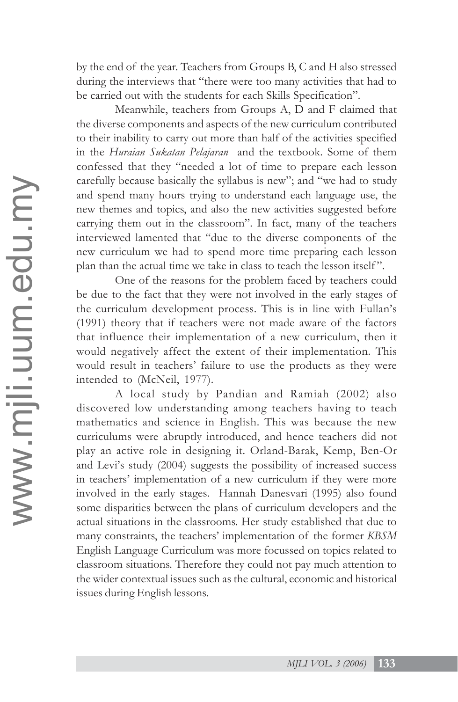by the end of the year. Teachers from Groups B, C and H also stressed during the interviews that "there were too many activities that had to be carried out with the students for each Skills Specification".

Meanwhile, teachers from Groups A, D and F claimed that the diverse components and aspects of the new curriculum contributed to their inability to carry out more than half of the activities specified in the *Huraian Sukatan Pelajaran* and the textbook. Some of them confessed that they "needed a lot of time to prepare each lesson carefully because basically the syllabus is new"; and "we had to study and spend many hours trying to understand each language use, the new themes and topics, and also the new activities suggested before carrying them out in the classroom". In fact, many of the teachers interviewed lamented that "due to the diverse components of the new curriculum we had to spend more time preparing each lesson plan than the actual time we take in class to teach the lesson itself ".

One of the reasons for the problem faced by teachers could be due to the fact that they were not involved in the early stages of the curriculum development process. This is in line with Fullan's (1991) theory that if teachers were not made aware of the factors that influence their implementation of a new curriculum, then it would negatively affect the extent of their implementation. This would result in teachers' failure to use the products as they were intended to (McNeil, 1977).

A local study by Pandian and Ramiah (2002) also discovered low understanding among teachers having to teach mathematics and science in English. This was because the new curriculums were abruptly introduced, and hence teachers did not play an active role in designing it. Orland-Barak, Kemp, Ben-Or and Levi's study (2004) suggests the possibility of increased success in teachers' implementation of a new curriculum if they were more involved in the early stages. Hannah Danesvari (1995) also found some disparities between the plans of curriculum developers and the actual situations in the classrooms. Her study established that due to many constraints, the teachers' implementation of the former *KBSM* English Language Curriculum was more focussed on topics related to classroom situations. Therefore they could not pay much attention to the wider contextual issues such as the cultural, economic and historical issues during English lessons.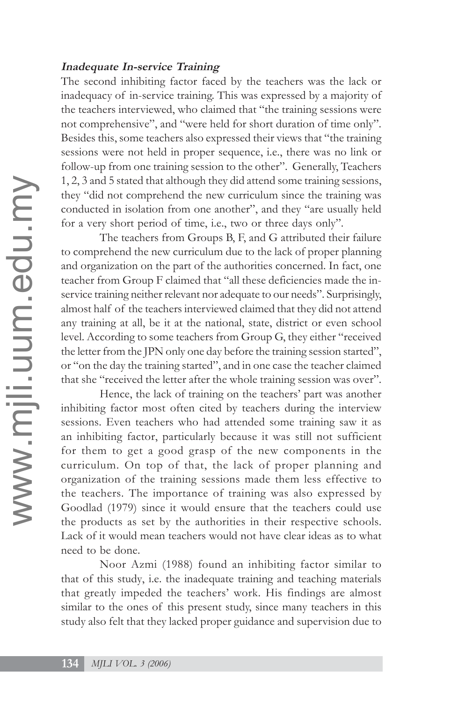#### **Inadequate In-service Training**

The second inhibiting factor faced by the teachers was the lack or inadequacy of in-service training. This was expressed by a majority of the teachers interviewed, who claimed that "the training sessions were not comprehensive", and "were held for short duration of time only". Besides this, some teachers also expressed their views that "the training sessions were not held in proper sequence, i.e., there was no link or follow-up from one training session to the other". Generally, Teachers 1, 2, 3 and 5 stated that although they did attend some training sessions, they "did not comprehend the new curriculum since the training was conducted in isolation from one another", and they "are usually held for a very short period of time, i.e., two or three days only".

The teachers from Groups B, F, and G attributed their failure to comprehend the new curriculum due to the lack of proper planning and organization on the part of the authorities concerned. In fact, one teacher from Group F claimed that "all these deficiencies made the inservice training neither relevant nor adequate to our needs". Surprisingly, almost half of the teachers interviewed claimed that they did not attend any training at all, be it at the national, state, district or even school level. According to some teachers from Group G, they either "received the letter from the JPN only one day before the training session started", or "on the day the training started", and in one case the teacher claimed that she "received the letter after the whole training session was over".

Hence, the lack of training on the teachers' part was another inhibiting factor most often cited by teachers during the interview sessions. Even teachers who had attended some training saw it as an inhibiting factor, particularly because it was still not sufficient for them to get a good grasp of the new components in the curriculum. On top of that, the lack of proper planning and organization of the training sessions made them less effective to the teachers. The importance of training was also expressed by Goodlad (1979) since it would ensure that the teachers could use the products as set by the authorities in their respective schools. Lack of it would mean teachers would not have clear ideas as to what need to be done.

Noor Azmi (1988) found an inhibiting factor similar to that of this study, i.e. the inadequate training and teaching materials that greatly impeded the teachers' work. His findings are almost similar to the ones of this present study, since many teachers in this study also felt that they lacked proper guidance and supervision due to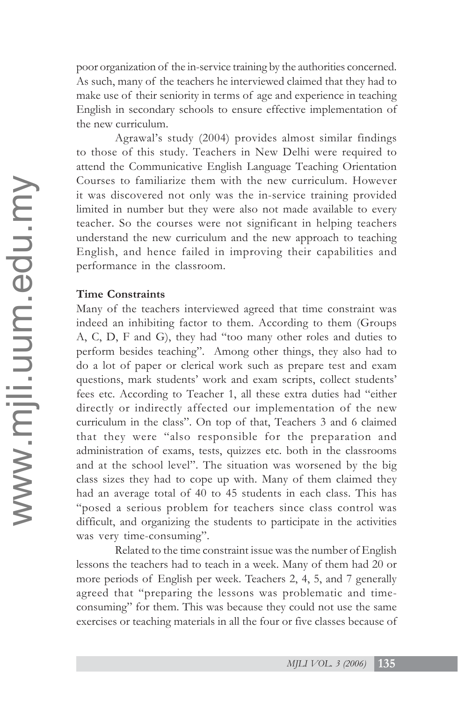poor organization of the in-service training by the authorities concerned. As such, many of the teachers he interviewed claimed that they had to make use of their seniority in terms of age and experience in teaching English in secondary schools to ensure effective implementation of the new curriculum.

Agrawal's study (2004) provides almost similar findings to those of this study. Teachers in New Delhi were required to attend the Communicative English Language Teaching Orientation Courses to familiarize them with the new curriculum. However it was discovered not only was the in-service training provided limited in number but they were also not made available to every teacher. So the courses were not significant in helping teachers understand the new curriculum and the new approach to teaching English, and hence failed in improving their capabilities and performance in the classroom.

#### **Time Constraints**

Many of the teachers interviewed agreed that time constraint was indeed an inhibiting factor to them. According to them (Groups A, C, D, F and G), they had "too many other roles and duties to perform besides teaching". Among other things, they also had to do a lot of paper or clerical work such as prepare test and exam questions, mark students' work and exam scripts, collect students' fees etc. According to Teacher 1, all these extra duties had "either directly or indirectly affected our implementation of the new curriculum in the class". On top of that, Teachers 3 and 6 claimed that they were "also responsible for the preparation and administration of exams, tests, quizzes etc. both in the classrooms and at the school level". The situation was worsened by the big class sizes they had to cope up with. Many of them claimed they had an average total of 40 to 45 students in each class. This has "posed a serious problem for teachers since class control was difficult, and organizing the students to participate in the activities was very time-consuming".

Related to the time constraint issue was the number of English lessons the teachers had to teach in a week. Many of them had 20 or more periods of English per week. Teachers 2, 4, 5, and 7 generally agreed that "preparing the lessons was problematic and timeconsuming" for them. This was because they could not use the same exercises or teaching materials in all the four or five classes because of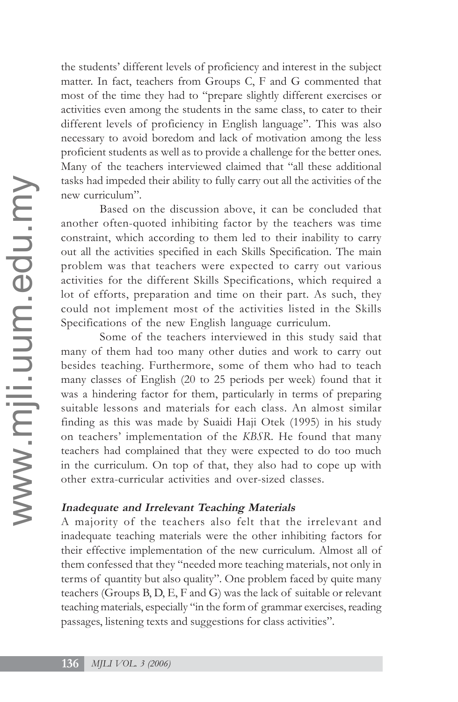the students' different levels of proficiency and interest in the subject matter. In fact, teachers from Groups C, F and G commented that most of the time they had to "prepare slightly different exercises or activities even among the students in the same class, to cater to their different levels of proficiency in English language". This was also necessary to avoid boredom and lack of motivation among the less proficient students as well as to provide a challenge for the better ones. Many of the teachers interviewed claimed that "all these additional tasks had impeded their ability to fully carry out all the activities of the new curriculum".

Based on the discussion above, it can be concluded that another often-quoted inhibiting factor by the teachers was time constraint, which according to them led to their inability to carry out all the activities specified in each Skills Specification. The main problem was that teachers were expected to carry out various activities for the different Skills Specifications, which required a lot of efforts, preparation and time on their part. As such, they could not implement most of the activities listed in the Skills Specifications of the new English language curriculum.

Some of the teachers interviewed in this study said that many of them had too many other duties and work to carry out besides teaching. Furthermore, some of them who had to teach many classes of English (20 to 25 periods per week) found that it was a hindering factor for them, particularly in terms of preparing suitable lessons and materials for each class. An almost similar finding as this was made by Suaidi Haji Otek (1995) in his study on teachers' implementation of the *KBSR*. He found that many teachers had complained that they were expected to do too much in the curriculum. On top of that, they also had to cope up with other extra-curricular activities and over-sized classes.

#### **Inadequate and Irrelevant Teaching Materials**

A majority of the teachers also felt that the irrelevant and inadequate teaching materials were the other inhibiting factors for their effective implementation of the new curriculum. Almost all of them confessed that they "needed more teaching materials, not only in terms of quantity but also quality". One problem faced by quite many teachers (Groups B, D, E, F and G) was the lack of suitable or relevant teaching materials, especially "in the form of grammar exercises, reading passages, listening texts and suggestions for class activities".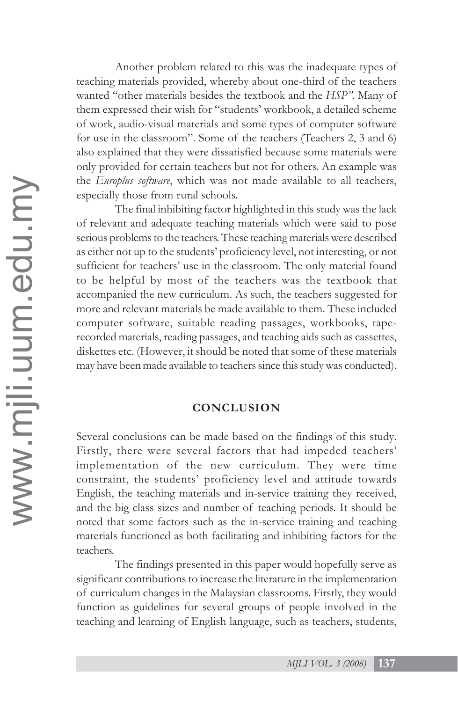Another problem related to this was the inadequate types of teaching materials provided, whereby about one-third of the teachers wanted "other materials besides the textbook and the *HSP"*. Many of them expressed their wish for "students' workbook, a detailed scheme of work, audio-visual materials and some types of computer software for use in the classroom". Some of the teachers (Teachers 2, 3 and 6) also explained that they were dissatisfied because some materials were only provided for certain teachers but not for others. An example was the *Europlus software*, which was not made available to all teachers, especially those from rural schools.

The final inhibiting factor highlighted in this study was the lack of relevant and adequate teaching materials which were said to pose serious problems to the teachers. These teaching materials were described as either not up to the students' proficiency level, not interesting, or not sufficient for teachers' use in the classroom. The only material found to be helpful by most of the teachers was the textbook that accompanied the new curriculum. As such, the teachers suggested for more and relevant materials be made available to them. These included computer software, suitable reading passages, workbooks, taperecorded materials, reading passages, and teaching aids such as cassettes, diskettes etc. (However, it should be noted that some of these materials may have been made available to teachers since this study was conducted).

### **CONCLUSION**

Several conclusions can be made based on the findings of this study. Firstly, there were several factors that had impeded teachers' implementation of the new curriculum. They were time constraint, the students' proficiency level and attitude towards English, the teaching materials and in-service training they received, and the big class sizes and number of teaching periods. It should be noted that some factors such as the in-service training and teaching materials functioned as both facilitating and inhibiting factors for the teachers.

The findings presented in this paper would hopefully serve as significant contributions to increase the literature in the implementation of curriculum changes in the Malaysian classrooms. Firstly, they would function as guidelines for several groups of people involved in the teaching and learning of English language, such as teachers, students,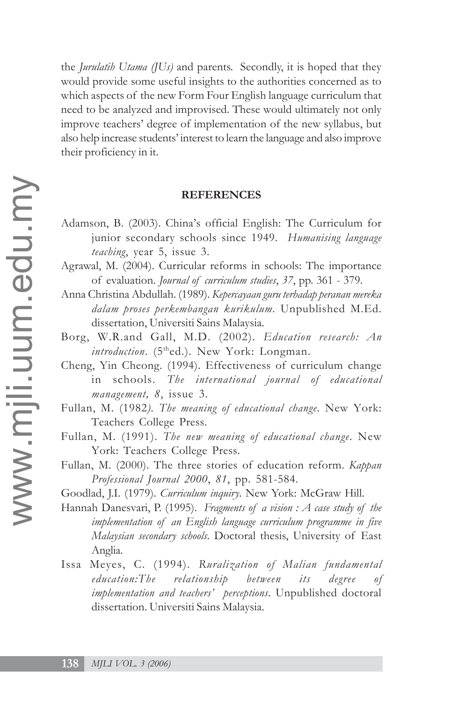the *Jurulatih Utama (JUs)* and parents. Secondly, it is hoped that they would provide some useful insights to the authorities concerned as to which aspects of the new Form Four English language curriculum that need to be analyzed and improvised. These would ultimately not only improve teachers' degree of implementation of the new syllabus, but also help increase students' interest to learn the language and also improve their proficiency in it.

#### **REFERENCES**

- Adamson, B. (2003). China's official English: The Curriculum for junior secondary schools since 1949. *Humanising language teaching*, year 5, issue 3.
- Agrawal, M. (2004). Curricular reforms in schools: The importance of evaluation. *Journal of curriculum studies*, *37*, pp. 361 - 379.
- Anna Christina Abdullah. (1989). *Kepercayaan guru terhadap peranan mereka dalam proses perkembangan kurikulum*. Unpublished M.Ed. dissertation, Universiti Sains Malaysia.
- Borg, W.R.and Gall, M.D. (2002). *Education research: An introduction.* (5<sup>th</sup>ed.). New York: Longman.
- Cheng, Yin Cheong. (1994). Effectiveness of curriculum change in schools. *The international journal of educational management, 8*, issue 3.
- Fullan, M. (1982*). The meaning of educational change*. New York: Teachers College Press.
- Fullan, M. (1991). *The new meaning of educational change*. New York: Teachers College Press.
- Fullan, M. (2000). The three stories of education reform. *Kappan Professional Journal 2000*, *81*, pp. 581-584.
- Goodlad, J.I. (1979). *Curriculum inquiry*. New York: McGraw Hill.
- Hannah Danesvari, P. (1995). *Fragments of a vision : A case study of the implementation of an English language curriculum programme in five Malaysian secondary schools*. Doctoral thesis, University of East Anglia.
- Issa Meyes, C. (1994). *Ruralization of Malian fundamental education:The relationship between its degree of implementation and teachers' perceptions*. Unpublished doctoral dissertation. Universiti Sains Malaysia.